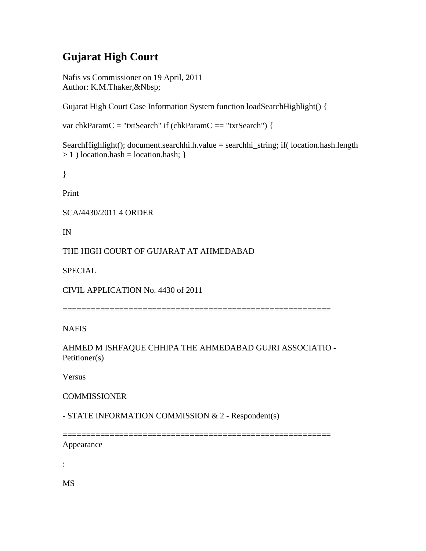# **Gujarat High Court**

Nafis vs Commissioner on 19 April, 2011 Author: K.M.Thaker,&Nbsp;

Gujarat High Court Case Information System function loadSearchHighlight() {

var chkParamC = "txtSearch" if (chkParamC == "txtSearch") {

SearchHighlight(); document.searchhi.h.value = searchhi\_string; if( location.hash.length  $> 1$ ) location.hash = location.hash; }

}

Print

SCA/4430/2011 4 ORDER

IN

THE HIGH COURT OF GUJARAT AT AHMEDABAD

SPECIAL

CIVIL APPLICATION No. 4430 of 2011

=========================================================

NAFIS

AHMED M ISHFAQUE CHHIPA THE AHMEDABAD GUJRI ASSOCIATIO - Petitioner(s)

Versus

**COMMISSIONER** 

- STATE INFORMATION COMMISSION & 2 - Respondent(s)

**=============** Appearance

:

MS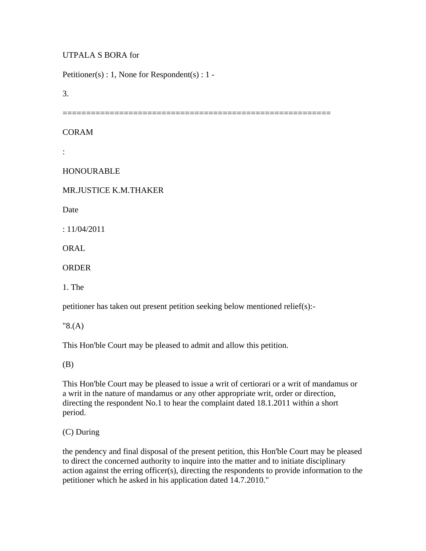## UTPALA S BORA for

Petitioner(s) : 1, None for Respondent(s) : 1 -

3.

===================================

### CORAM

:

#### HONOURABLE

#### MR.JUSTICE K.M.THAKER

**Date** 

: 11/04/2011

ORAL

ORDER

1. The

petitioner has taken out present petition seeking below mentioned relief(s):-

"8.(A)

This Hon'ble Court may be pleased to admit and allow this petition.

(B)

This Hon'ble Court may be pleased to issue a writ of certiorari or a writ of mandamus or a writ in the nature of mandamus or any other appropriate writ, order or direction, directing the respondent No.1 to hear the complaint dated 18.1.2011 within a short period.

(C) During

the pendency and final disposal of the present petition, this Hon'ble Court may be pleased to direct the concerned authority to inquire into the matter and to initiate disciplinary action against the erring officer(s), directing the respondents to provide information to the petitioner which he asked in his application dated 14.7.2010."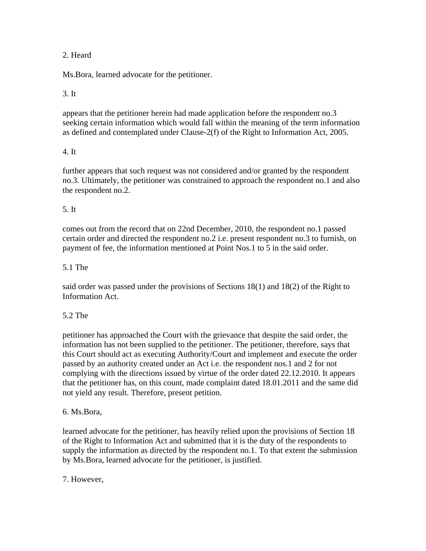## 2. Heard

Ms.Bora, learned advocate for the petitioner.

### 3. It

appears that the petitioner herein had made application before the respondent no.3 seeking certain information which would fall within the meaning of the term information as defined and contemplated under Clause-2(f) of the Right to Information Act, 2005.

#### 4. It

further appears that such request was not considered and/or granted by the respondent no.3. Ultimately, the petitioner was constrained to approach the respondent no.1 and also the respondent no.2.

#### 5. It

comes out from the record that on 22nd December, 2010, the respondent no.1 passed certain order and directed the respondent no.2 i.e. present respondent no.3 to furnish, on payment of fee, the information mentioned at Point Nos.1 to 5 in the said order.

#### 5.1 The

said order was passed under the provisions of Sections 18(1) and 18(2) of the Right to Information Act.

#### 5.2 The

petitioner has approached the Court with the grievance that despite the said order, the information has not been supplied to the petitioner. The petitioner, therefore, says that this Court should act as executing Authority/Court and implement and execute the order passed by an authority created under an Act i.e. the respondent nos.1 and 2 for not complying with the directions issued by virtue of the order dated 22.12.2010. It appears that the petitioner has, on this count, made complaint dated 18.01.2011 and the same did not yield any result. Therefore, present petition.

#### 6. Ms.Bora,

learned advocate for the petitioner, has heavily relied upon the provisions of Section 18 of the Right to Information Act and submitted that it is the duty of the respondents to supply the information as directed by the respondent no.1. To that extent the submission by Ms.Bora, learned advocate for the petitioner, is justified.

7. However,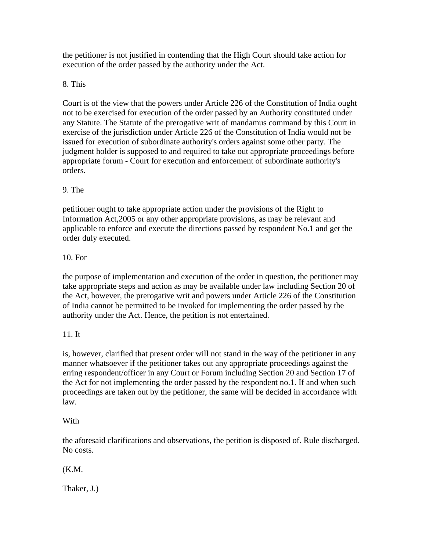the petitioner is not justified in contending that the High Court should take action for execution of the order passed by the authority under the Act.

# 8. This

Court is of the view that the powers under Article 226 of the Constitution of India ought not to be exercised for execution of the order passed by an Authority constituted under any Statute. The Statute of the prerogative writ of mandamus command by this Court in exercise of the jurisdiction under Article 226 of the Constitution of India would not be issued for execution of subordinate authority's orders against some other party. The judgment holder is supposed to and required to take out appropriate proceedings before appropriate forum - Court for execution and enforcement of subordinate authority's orders.

# 9. The

petitioner ought to take appropriate action under the provisions of the Right to Information Act,2005 or any other appropriate provisions, as may be relevant and applicable to enforce and execute the directions passed by respondent No.1 and get the order duly executed.

# 10. For

the purpose of implementation and execution of the order in question, the petitioner may take appropriate steps and action as may be available under law including Section 20 of the Act, however, the prerogative writ and powers under Article 226 of the Constitution of India cannot be permitted to be invoked for implementing the order passed by the authority under the Act. Hence, the petition is not entertained.

## 11. It

is, however, clarified that present order will not stand in the way of the petitioner in any manner whatsoever if the petitioner takes out any appropriate proceedings against the erring respondent/officer in any Court or Forum including Section 20 and Section 17 of the Act for not implementing the order passed by the respondent no.1. If and when such proceedings are taken out by the petitioner, the same will be decided in accordance with law.

## **With**

the aforesaid clarifications and observations, the petition is disposed of. Rule discharged. No costs.

# (K.M.

Thaker, J.)